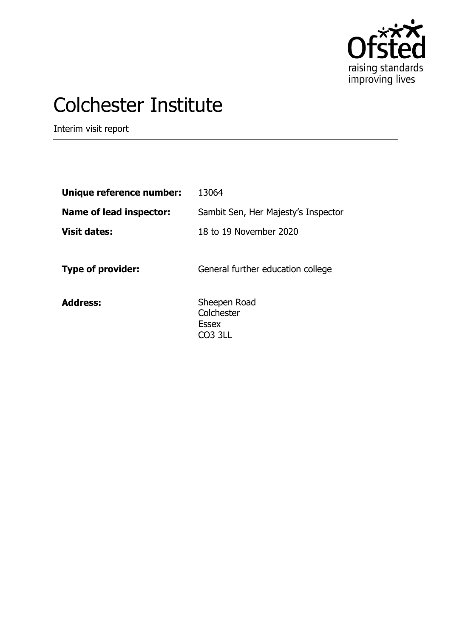

# Colchester Institute

Interim visit report

| Unique reference number:       | 13064                                                 |
|--------------------------------|-------------------------------------------------------|
| <b>Name of lead inspector:</b> | Sambit Sen, Her Majesty's Inspector                   |
| <b>Visit dates:</b>            | 18 to 19 November 2020                                |
| <b>Type of provider:</b>       | General further education college                     |
| <b>Address:</b>                | Sheepen Road<br>Colchester<br><b>Essex</b><br>CO3 3LL |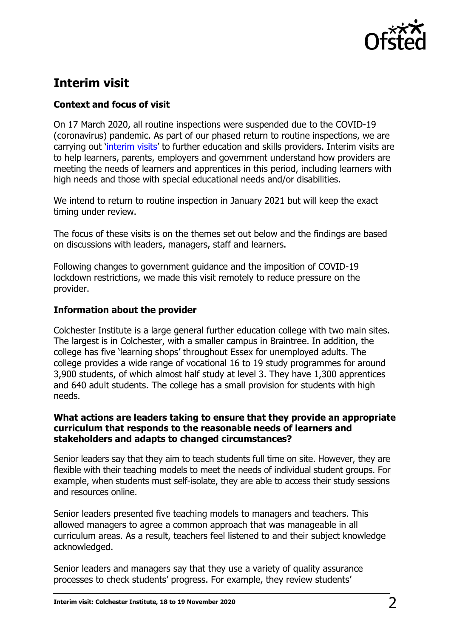

# **Interim visit**

# **Context and focus of visit**

On 17 March 2020, all routine inspections were suspended due to the COVID-19 (coronavirus) pandemic. As part of our phased return to routine inspections, we are carrying out '[interim visits](https://www.gov.uk/guidance/interim-phase-further-education-and-skills-providers#interim-visits)' to further education and skills providers. Interim visits are to help learners, parents, employers and government understand how providers are meeting the needs of learners and apprentices in this period, including learners with high needs and those with special educational needs and/or disabilities.

We intend to return to routine inspection in January 2021 but will keep the exact timing under review.

The focus of these visits is on the themes set out below and the findings are based on discussions with leaders, managers, staff and learners.

Following changes to government guidance and the imposition of COVID-19 lockdown restrictions, we made this visit remotely to reduce pressure on the provider.

## **Information about the provider**

Colchester Institute is a large general further education college with two main sites. The largest is in Colchester, with a smaller campus in Braintree. In addition, the college has five 'learning shops' throughout Essex for unemployed adults. The college provides a wide range of vocational 16 to 19 study programmes for around 3,900 students, of which almost half study at level 3. They have 1,300 apprentices and 640 adult students. The college has a small provision for students with high needs.

#### **What actions are leaders taking to ensure that they provide an appropriate curriculum that responds to the reasonable needs of learners and stakeholders and adapts to changed circumstances?**

Senior leaders say that they aim to teach students full time on site. However, they are flexible with their teaching models to meet the needs of individual student groups. For example, when students must self-isolate, they are able to access their study sessions and resources online.

Senior leaders presented five teaching models to managers and teachers. This allowed managers to agree a common approach that was manageable in all curriculum areas. As a result, teachers feel listened to and their subject knowledge acknowledged.

Senior leaders and managers say that they use a variety of quality assurance processes to check students' progress. For example, they review students'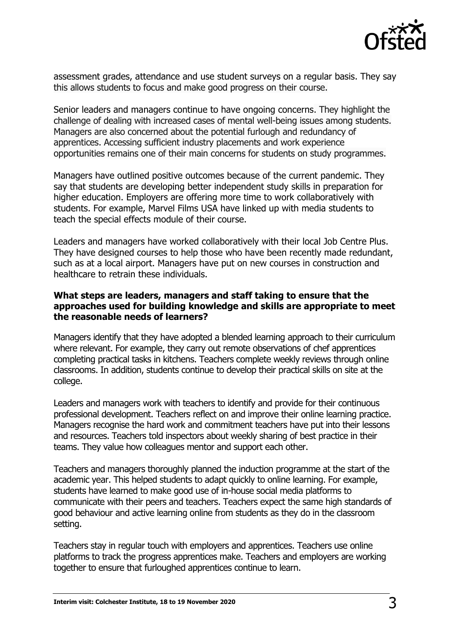

assessment grades, attendance and use student surveys on a regular basis. They say this allows students to focus and make good progress on their course.

Senior leaders and managers continue to have ongoing concerns. They highlight the challenge of dealing with increased cases of mental well-being issues among students. Managers are also concerned about the potential furlough and redundancy of apprentices. Accessing sufficient industry placements and work experience opportunities remains one of their main concerns for students on study programmes.

Managers have outlined positive outcomes because of the current pandemic. They say that students are developing better independent study skills in preparation for higher education. Employers are offering more time to work collaboratively with students. For example, Marvel Films USA have linked up with media students to teach the special effects module of their course.

Leaders and managers have worked collaboratively with their local Job Centre Plus. They have designed courses to help those who have been recently made redundant, such as at a local airport. Managers have put on new courses in construction and healthcare to retrain these individuals.

### **What steps are leaders, managers and staff taking to ensure that the approaches used for building knowledge and skills are appropriate to meet the reasonable needs of learners?**

Managers identify that they have adopted a blended learning approach to their curriculum where relevant. For example, they carry out remote observations of chef apprentices completing practical tasks in kitchens. Teachers complete weekly reviews through online classrooms. In addition, students continue to develop their practical skills on site at the college.

Leaders and managers work with teachers to identify and provide for their continuous professional development. Teachers reflect on and improve their online learning practice. Managers recognise the hard work and commitment teachers have put into their lessons and resources. Teachers told inspectors about weekly sharing of best practice in their teams. They value how colleagues mentor and support each other.

Teachers and managers thoroughly planned the induction programme at the start of the academic year. This helped students to adapt quickly to online learning. For example, students have learned to make good use of in-house social media platforms to communicate with their peers and teachers. Teachers expect the same high standards of good behaviour and active learning online from students as they do in the classroom setting.

Teachers stay in regular touch with employers and apprentices. Teachers use online platforms to track the progress apprentices make. Teachers and employers are working together to ensure that furloughed apprentices continue to learn.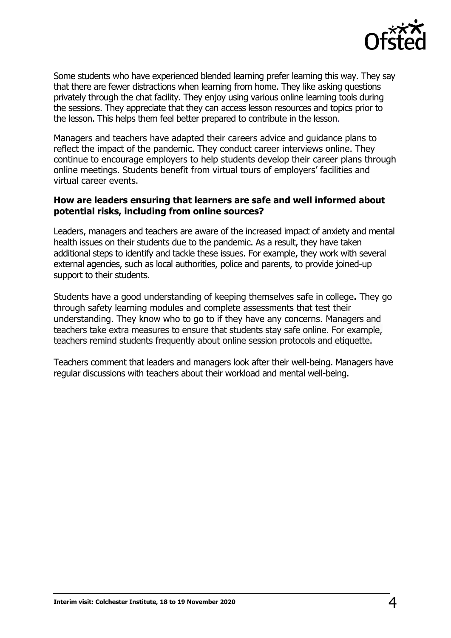

Some students who have experienced blended learning prefer learning this way. They say that there are fewer distractions when learning from home. They like asking questions privately through the chat facility. They enjoy using various online learning tools during the sessions. They appreciate that they can access lesson resources and topics prior to the lesson. This helps them feel better prepared to contribute in the lesson.

Managers and teachers have adapted their careers advice and guidance plans to reflect the impact of the pandemic. They conduct career interviews online. They continue to encourage employers to help students develop their career plans through online meetings. Students benefit from virtual tours of employers' facilities and virtual career events.

#### **How are leaders ensuring that learners are safe and well informed about potential risks, including from online sources?**

Leaders, managers and teachers are aware of the increased impact of anxiety and mental health issues on their students due to the pandemic. As a result, they have taken additional steps to identify and tackle these issues. For example, they work with several external agencies, such as local authorities, police and parents, to provide joined-up support to their students.

Students have a good understanding of keeping themselves safe in college**.** They go through safety learning modules and complete assessments that test their understanding. They know who to go to if they have any concerns. Managers and teachers take extra measures to ensure that students stay safe online. For example, teachers remind students frequently about online session protocols and etiquette.

Teachers comment that leaders and managers look after their well-being. Managers have regular discussions with teachers about their workload and mental well-being.